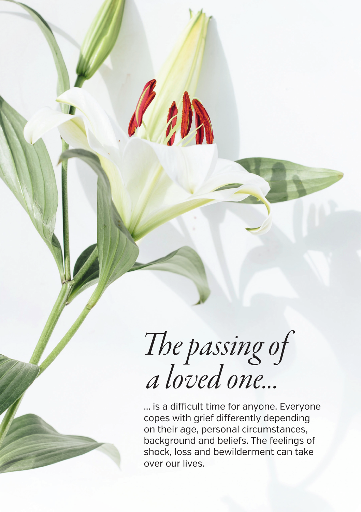*The passing of a loved one...*

... is a difficult time for anyone. Everyone copes with grief differently depending on their age, personal circumstances, background and beliefs. The feelings of shock, loss and bewilderment can take over our lives.